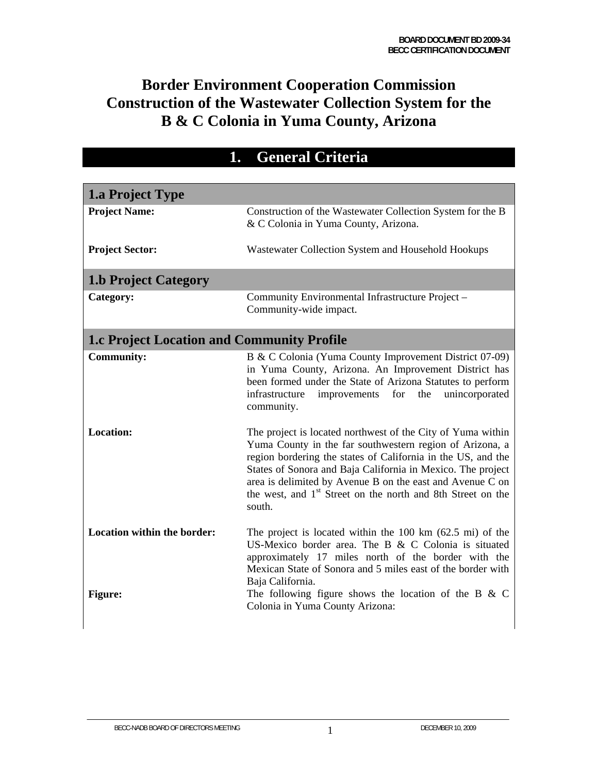# **Border Environment Cooperation Commission Construction of the Wastewater Collection System for the B & C Colonia in Yuma County, Arizona**

| 1. General Criteria                               |                                                                                                                                                                                                                                                                                                                                                                                                          |  |
|---------------------------------------------------|----------------------------------------------------------------------------------------------------------------------------------------------------------------------------------------------------------------------------------------------------------------------------------------------------------------------------------------------------------------------------------------------------------|--|
|                                                   |                                                                                                                                                                                                                                                                                                                                                                                                          |  |
| <b>1.a Project Type</b>                           |                                                                                                                                                                                                                                                                                                                                                                                                          |  |
| <b>Project Name:</b>                              | Construction of the Wastewater Collection System for the B<br>& C Colonia in Yuma County, Arizona.                                                                                                                                                                                                                                                                                                       |  |
| <b>Project Sector:</b>                            | Wastewater Collection System and Household Hookups                                                                                                                                                                                                                                                                                                                                                       |  |
| <b>1.b Project Category</b>                       |                                                                                                                                                                                                                                                                                                                                                                                                          |  |
| Category:                                         | Community Environmental Infrastructure Project -<br>Community-wide impact.                                                                                                                                                                                                                                                                                                                               |  |
| <b>1.c Project Location and Community Profile</b> |                                                                                                                                                                                                                                                                                                                                                                                                          |  |
| <b>Community:</b>                                 | B & C Colonia (Yuma County Improvement District 07-09)<br>in Yuma County, Arizona. An Improvement District has<br>been formed under the State of Arizona Statutes to perform<br>infrastructure<br>for<br>the<br>unincorporated<br>improvements<br>community.                                                                                                                                             |  |
| <b>Location:</b>                                  | The project is located northwest of the City of Yuma within<br>Yuma County in the far southwestern region of Arizona, a<br>region bordering the states of California in the US, and the<br>States of Sonora and Baja California in Mexico. The project<br>area is delimited by Avenue B on the east and Avenue C on<br>the west, and 1 <sup>st</sup> Street on the north and 8th Street on the<br>south. |  |
| Location within the border:<br>Figure:            | The project is located within the $100 \text{ km}$ (62.5 mi) of the<br>US-Mexico border area. The B & C Colonia is situated<br>approximately 17 miles north of the border with the<br>Mexican State of Sonora and 5 miles east of the border with<br>Baja California.<br>The following figure shows the location of the B $&$ C<br>Colonia in Yuma County Arizona:                                       |  |
|                                                   |                                                                                                                                                                                                                                                                                                                                                                                                          |  |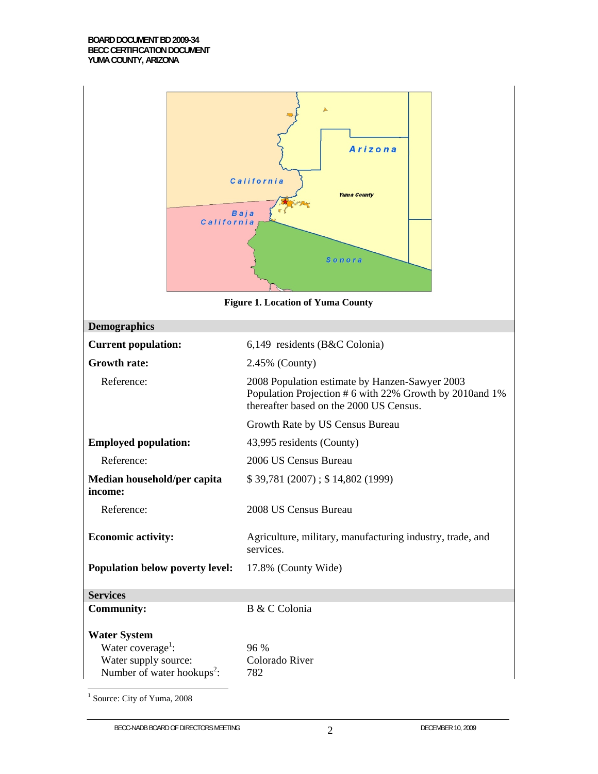| California                                                                                                             | Arizona<br>California<br><b>Yuma County</b><br><b>Baja</b><br>Sonora                                                                                 |  |
|------------------------------------------------------------------------------------------------------------------------|------------------------------------------------------------------------------------------------------------------------------------------------------|--|
|                                                                                                                        | <b>Figure 1. Location of Yuma County</b>                                                                                                             |  |
| <b>Demographics</b>                                                                                                    |                                                                                                                                                      |  |
| <b>Current population:</b>                                                                                             | $6,149$ residents (B&C Colonia)                                                                                                                      |  |
| <b>Growth rate:</b>                                                                                                    | 2.45% (County)                                                                                                                                       |  |
| Reference:                                                                                                             | 2008 Population estimate by Hanzen-Sawyer 2003<br>Population Projection # 6 with 22% Growth by 2010and 1%<br>thereafter based on the 2000 US Census. |  |
|                                                                                                                        | Growth Rate by US Census Bureau                                                                                                                      |  |
| <b>Employed population:</b>                                                                                            | 43,995 residents (County)                                                                                                                            |  |
| Reference:                                                                                                             | 2006 US Census Bureau                                                                                                                                |  |
| Median household/per capita<br>income:                                                                                 | \$39,781 (2007); \$14,802 (1999)                                                                                                                     |  |
| Reference:                                                                                                             | 2008 US Census Bureau                                                                                                                                |  |
| <b>Economic activity:</b>                                                                                              | Agriculture, military, manufacturing industry, trade, and<br>services.                                                                               |  |
| Population below poverty level:                                                                                        | 17.8% (County Wide)                                                                                                                                  |  |
| <b>Services</b>                                                                                                        |                                                                                                                                                      |  |
| <b>Community:</b>                                                                                                      | B & C Colonia                                                                                                                                        |  |
| <b>Water System</b><br>Water coverage <sup>1</sup> :<br>Water supply source:<br>Number of water hookups <sup>2</sup> : | 96 %<br>Colorado River<br>782                                                                                                                        |  |

<sup>1</sup> Source: City of Yuma, 2008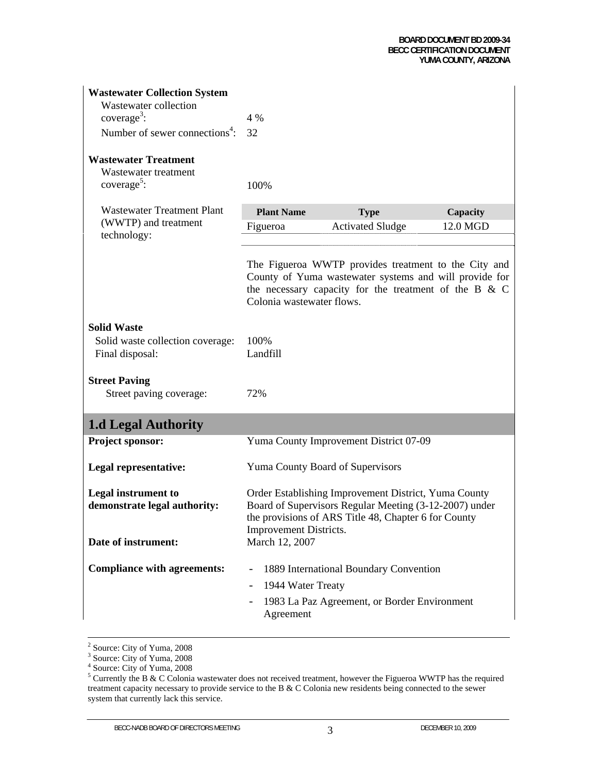| <b>Wastewater Collection System</b><br>Wastewater collection<br>coverage <sup>3</sup> :<br>Number of sewer connections <sup>4</sup> : | 4 %<br>32                      |                                                                                                                                                                            |          |
|---------------------------------------------------------------------------------------------------------------------------------------|--------------------------------|----------------------------------------------------------------------------------------------------------------------------------------------------------------------------|----------|
| <b>Wastewater Treatment</b><br>Wastewater treatment<br>$coverage5$ :                                                                  | 100%                           |                                                                                                                                                                            |          |
| <b>Wastewater Treatment Plant</b>                                                                                                     | <b>Plant Name</b>              | <b>Type</b>                                                                                                                                                                | Capacity |
| (WWTP) and treatment                                                                                                                  | Figueroa                       | <b>Activated Sludge</b>                                                                                                                                                    | 12.0 MGD |
| technology:                                                                                                                           |                                |                                                                                                                                                                            |          |
|                                                                                                                                       | Colonia wastewater flows.      | The Figueroa WWTP provides treatment to the City and<br>County of Yuma wastewater systems and will provide for<br>the necessary capacity for the treatment of the B $\&$ C |          |
| <b>Solid Waste</b><br>Solid waste collection coverage:<br>Final disposal:                                                             | 100%<br>Landfill               |                                                                                                                                                                            |          |
| <b>Street Paving</b><br>Street paving coverage:                                                                                       | 72%                            |                                                                                                                                                                            |          |
| <b>1.d Legal Authority</b>                                                                                                            |                                |                                                                                                                                                                            |          |
| Project sponsor:                                                                                                                      |                                | Yuma County Improvement District 07-09                                                                                                                                     |          |
| Legal representative:                                                                                                                 |                                | Yuma County Board of Supervisors                                                                                                                                           |          |
| <b>Legal instrument to</b><br>demonstrate legal authority:                                                                            | Improvement Districts.         | Order Establishing Improvement District, Yuma County<br>Board of Supervisors Regular Meeting (3-12-2007) under<br>the provisions of ARS Title 48, Chapter 6 for County     |          |
| Date of instrument:                                                                                                                   | March 12, 2007                 |                                                                                                                                                                            |          |
| <b>Compliance with agreements:</b>                                                                                                    | 1944 Water Treaty<br>Agreement | 1889 International Boundary Convention<br>1983 La Paz Agreement, or Border Environment                                                                                     |          |

 $\frac{1}{2}$ 

<sup>&</sup>lt;sup>2</sup> Source: City of Yuma, 2008<br><sup>3</sup> Source: City of Yuma, 2008<br><sup>4</sup> Source: City of Yuma, 2008

<sup>&</sup>lt;sup>5</sup> Currently the B & C Colonia wastewater does not received treatment, however the Figueroa WWTP has the required treatment capacity necessary to provide service to the B & C Colonia new residents being connected to the sewer system that currently lack this service.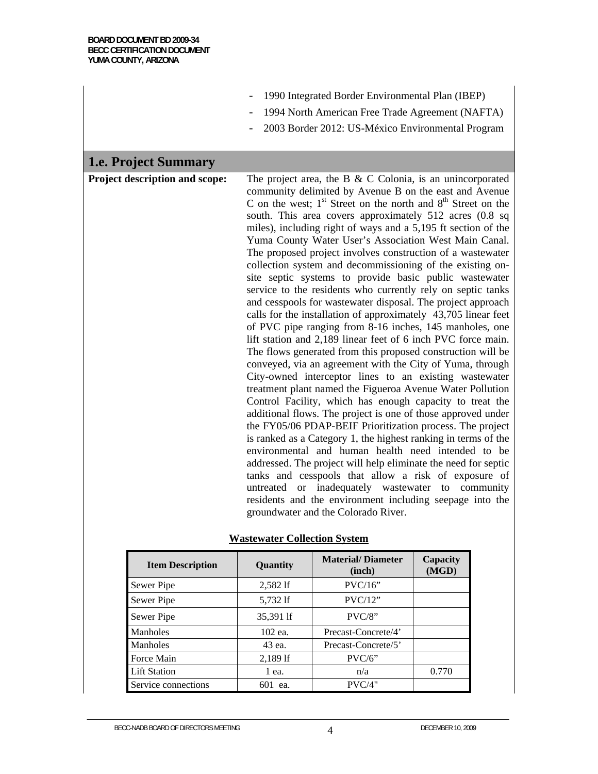| 1990 Integrated Border Environmental Plan (IBEP) |  |
|--------------------------------------------------|--|
|--------------------------------------------------|--|

- 1994 North American Free Trade Agreement (NAFTA)
- 2003 Border 2012: US-México Environmental Program

# **1.e. Project Summary**

**Project description and scope:** The project area, the B & C Colonia, is an unincorporated community delimited by Avenue B on the east and Avenue C on the west;  $1<sup>st</sup>$  Street on the north and  $8<sup>th</sup>$  Street on the south. This area covers approximately 512 acres (0.8 sq miles), including right of ways and a 5,195 ft section of the Yuma County Water User's Association West Main Canal. The proposed project involves construction of a wastewater collection system and decommissioning of the existing onsite septic systems to provide basic public wastewater service to the residents who currently rely on septic tanks and cesspools for wastewater disposal. The project approach calls for the installation of approximately 43,705 linear feet of PVC pipe ranging from 8-16 inches, 145 manholes, one lift station and 2,189 linear feet of 6 inch PVC force main. The flows generated from this proposed construction will be conveyed, via an agreement with the City of Yuma, through City-owned interceptor lines to an existing wastewater treatment plant named the Figueroa Avenue Water Pollution Control Facility, which has enough capacity to treat the additional flows. The project is one of those approved under the FY05/06 PDAP-BEIF Prioritization process. The project is ranked as a Category 1, the highest ranking in terms of the environmental and human health need intended to be addressed. The project will help eliminate the need for septic tanks and cesspools that allow a risk of exposure of untreated or inadequately wastewater to community residents and the environment including seepage into the groundwater and the Colorado River.

| <b>Wastewater Collection System</b> |  |
|-------------------------------------|--|
|                                     |  |

| <b>Item Description</b> | Quantity   | <b>Material/Diameter</b><br>(inch) | Capacity<br>(MGD) |
|-------------------------|------------|------------------------------------|-------------------|
| Sewer Pipe              | 2,582 lf   | PVC/16"                            |                   |
| Sewer Pipe              | 5,732 lf   | PVC/12"                            |                   |
| Sewer Pipe              | 35,391 lf  | $PVC/8$ "                          |                   |
| Manholes                | 102 ea.    | Precast-Concrete/4'                |                   |
| Manholes                | 43 ea.     | Precast-Concrete/5'                |                   |
| Force Main              | $2,189$ If | $PVC/6$ "                          |                   |
| <b>Lift Station</b>     | $1$ ea.    | n/a                                | 0.770             |
| Service connections     | 601<br>ea. | PVC/4"                             |                   |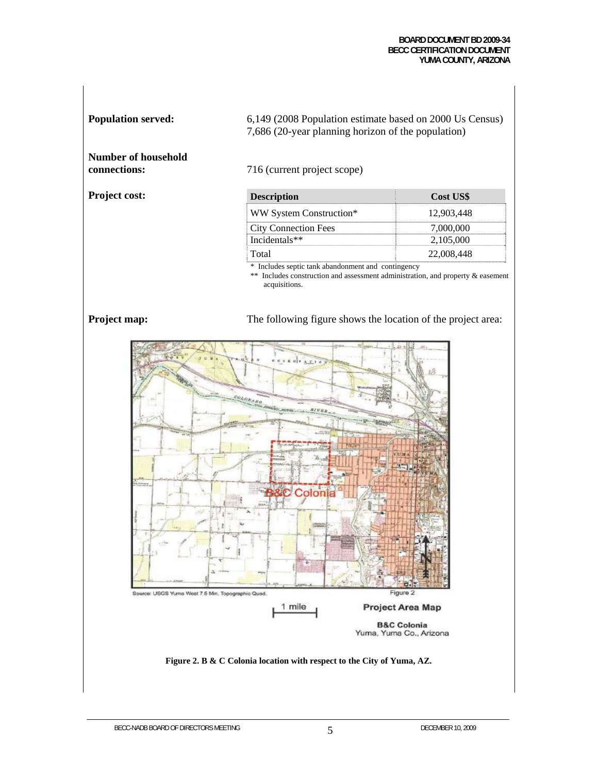#### **BOARD DOCUMENT BD 2009-34 BECC CERTIFICATION DOCUMENT YUMA COUNTY, ARIZONA**

**Population served:** 6,149 (2008 Population estimate based on 2000 Us Census) 7,686 (20-year planning horizon of the population)

**Number of household** 

**Project cost:** 

716 (current project scope)

| <b>Description</b>          | <b>Cost US\$</b> |
|-----------------------------|------------------|
| WW System Construction*     | 12.903.448       |
| <b>City Connection Fees</b> | 7.000.000        |
| Incidentals**               | 2,105,000        |
| ‡Total∶                     | 22,008,448       |

\* Includes septic tank abandonment and contingency

\*\* Includes construction and assessment administration, and property & easement acquisitions.

**Project map:** The following figure shows the location of the project area:

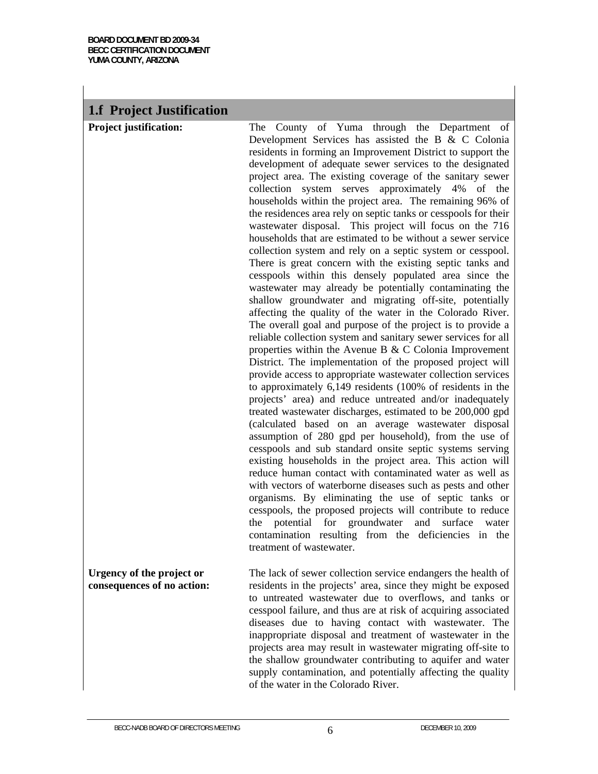# **1.f Project Justification**

**Project justification:** The County of Yuma through the Department of Development Services has assisted the B & C Colonia residents in forming an Improvement District to support the development of adequate sewer services to the designated project area. The existing coverage of the sanitary sewer collection system serves approximately 4% of the households within the project area. The remaining 96% of the residences area rely on septic tanks or cesspools for their wastewater disposal. This project will focus on the 716 households that are estimated to be without a sewer service collection system and rely on a septic system or cesspool. There is great concern with the existing septic tanks and cesspools within this densely populated area since the wastewater may already be potentially contaminating the shallow groundwater and migrating off-site, potentially affecting the quality of the water in the Colorado River. The overall goal and purpose of the project is to provide a reliable collection system and sanitary sewer services for all properties within the Avenue B & C Colonia Improvement District. The implementation of the proposed project will provide access to appropriate wastewater collection services to approximately 6,149 residents (100% of residents in the projects' area) and reduce untreated and/or inadequately treated wastewater discharges, estimated to be 200,000 gpd (calculated based on an average wastewater disposal assumption of 280 gpd per household), from the use of cesspools and sub standard onsite septic systems serving existing households in the project area. This action will reduce human contact with contaminated water as well as with vectors of waterborne diseases such as pests and other organisms. By eliminating the use of septic tanks or cesspools, the proposed projects will contribute to reduce the potential for groundwater and surface water contamination resulting from the deficiencies in the treatment of wastewater.

#### **Urgency of the project or consequences of no action:**

The lack of sewer collection service endangers the health of residents in the projects' area, since they might be exposed to untreated wastewater due to overflows, and tanks or cesspool failure, and thus are at risk of acquiring associated diseases due to having contact with wastewater. The inappropriate disposal and treatment of wastewater in the projects area may result in wastewater migrating off-site to the shallow groundwater contributing to aquifer and water supply contamination, and potentially affecting the quality of the water in the Colorado River.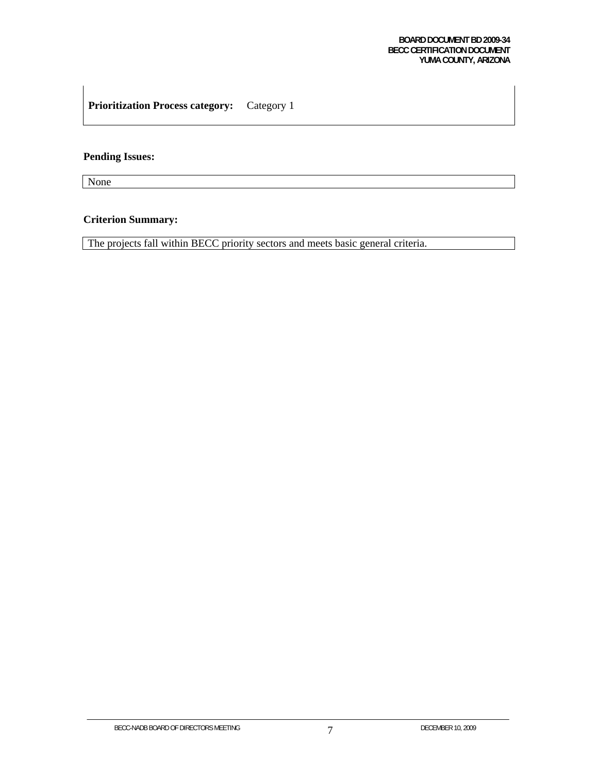# **Prioritization Process category:** Category 1

#### **Pending Issues:**

None

# **Criterion Summary:**

The projects fall within BECC priority sectors and meets basic general criteria.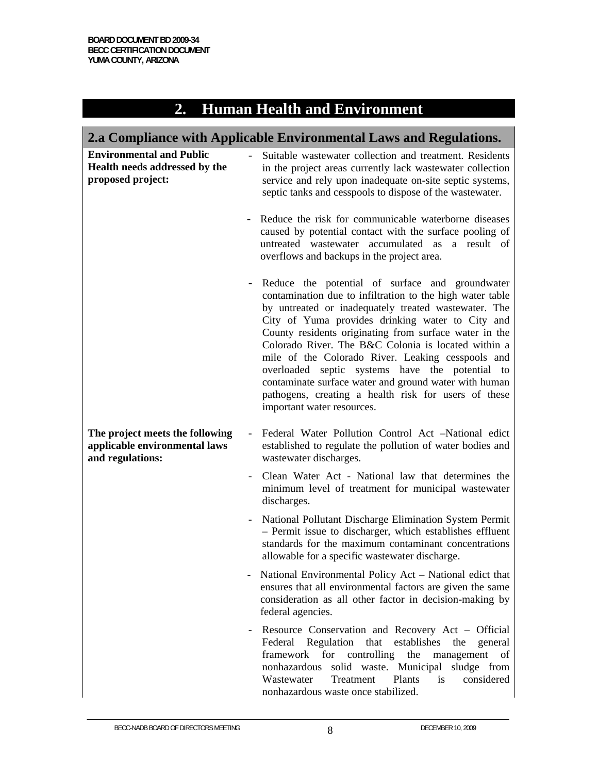| Α |                                         |
|---|-----------------------------------------|
|   | <b>2. Human Health and Environment'</b> |
|   |                                         |

| 2.a Compliance with Applicable Environmental Laws and Regulations.                    |                                                                                                                                                                                                                                                                                                                                                                                                                                                                                                                                                                                                  |  |
|---------------------------------------------------------------------------------------|--------------------------------------------------------------------------------------------------------------------------------------------------------------------------------------------------------------------------------------------------------------------------------------------------------------------------------------------------------------------------------------------------------------------------------------------------------------------------------------------------------------------------------------------------------------------------------------------------|--|
| <b>Environmental and Public</b><br>Health needs addressed by the<br>proposed project: | Suitable wastewater collection and treatment. Residents<br>in the project areas currently lack wastewater collection<br>service and rely upon inadequate on-site septic systems,<br>septic tanks and cesspools to dispose of the wastewater.                                                                                                                                                                                                                                                                                                                                                     |  |
|                                                                                       | Reduce the risk for communicable waterborne diseases<br>caused by potential contact with the surface pooling of<br>untreated wastewater accumulated as a result of<br>overflows and backups in the project area.                                                                                                                                                                                                                                                                                                                                                                                 |  |
|                                                                                       | Reduce the potential of surface and groundwater<br>contamination due to infiltration to the high water table<br>by untreated or inadequately treated wastewater. The<br>City of Yuma provides drinking water to City and<br>County residents originating from surface water in the<br>Colorado River. The B&C Colonia is located within a<br>mile of the Colorado River. Leaking cesspools and<br>overloaded septic systems have the potential to<br>contaminate surface water and ground water with human<br>pathogens, creating a health risk for users of these<br>important water resources. |  |
| The project meets the following<br>applicable environmental laws<br>and regulations:  | Federal Water Pollution Control Act -National edict<br>established to regulate the pollution of water bodies and<br>wastewater discharges.                                                                                                                                                                                                                                                                                                                                                                                                                                                       |  |
|                                                                                       | Clean Water Act - National law that determines the<br>minimum level of treatment for municipal wastewater<br>discharges.                                                                                                                                                                                                                                                                                                                                                                                                                                                                         |  |
|                                                                                       | National Pollutant Discharge Elimination System Permit<br>- Permit issue to discharger, which establishes effluent<br>standards for the maximum contaminant concentrations<br>allowable for a specific wastewater discharge.                                                                                                                                                                                                                                                                                                                                                                     |  |
|                                                                                       | National Environmental Policy Act – National edict that<br>ensures that all environmental factors are given the same<br>consideration as all other factor in decision-making by<br>federal agencies.                                                                                                                                                                                                                                                                                                                                                                                             |  |
|                                                                                       | Resource Conservation and Recovery Act - Official<br>that<br>Federal Regulation<br>establishes<br>the<br>general<br>framework<br>for<br>controlling<br>the<br>management<br>of<br>solid waste. Municipal<br>nonhazardous<br>sludge from<br>Plants<br>considered<br>Wastewater<br>Treatment<br>is<br>nonhazardous waste once stabilized.                                                                                                                                                                                                                                                          |  |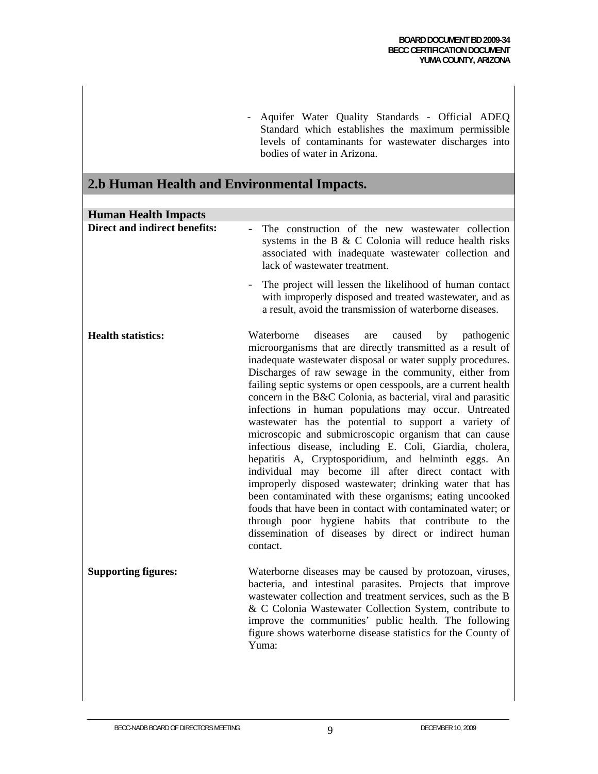- Aquifer Water Quality Standards - Official ADEQ Standard which establishes the maximum permissible levels of contaminants for wastewater discharges into bodies of water in Arizona.

# **2.b Human Health and Environmental Impacts.**

| <b>Human Health Impacts</b>          |                                                                                                                                                                                                                                                                                                                                                                                                                                                                                                                                                                                                                                                                                                                                                                                                                                                                                                                                                                                                                                                           |
|--------------------------------------|-----------------------------------------------------------------------------------------------------------------------------------------------------------------------------------------------------------------------------------------------------------------------------------------------------------------------------------------------------------------------------------------------------------------------------------------------------------------------------------------------------------------------------------------------------------------------------------------------------------------------------------------------------------------------------------------------------------------------------------------------------------------------------------------------------------------------------------------------------------------------------------------------------------------------------------------------------------------------------------------------------------------------------------------------------------|
| <b>Direct and indirect benefits:</b> | The construction of the new wastewater collection<br>systems in the B & C Colonia will reduce health risks<br>associated with inadequate wastewater collection and<br>lack of wastewater treatment.                                                                                                                                                                                                                                                                                                                                                                                                                                                                                                                                                                                                                                                                                                                                                                                                                                                       |
|                                      | The project will lessen the likelihood of human contact<br>with improperly disposed and treated wastewater, and as<br>a result, avoid the transmission of waterborne diseases.                                                                                                                                                                                                                                                                                                                                                                                                                                                                                                                                                                                                                                                                                                                                                                                                                                                                            |
| <b>Health statistics:</b>            | Waterborne<br>diseases<br>caused<br>by<br>pathogenic<br>are<br>microorganisms that are directly transmitted as a result of<br>inadequate wastewater disposal or water supply procedures.<br>Discharges of raw sewage in the community, either from<br>failing septic systems or open cesspools, are a current health<br>concern in the B&C Colonia, as bacterial, viral and parasitic<br>infections in human populations may occur. Untreated<br>wastewater has the potential to support a variety of<br>microscopic and submicroscopic organism that can cause<br>infectious disease, including E. Coli, Giardia, cholera,<br>hepatitis A, Cryptosporidium, and helminth eggs. An<br>individual may become ill after direct contact with<br>improperly disposed wastewater; drinking water that has<br>been contaminated with these organisms; eating uncooked<br>foods that have been in contact with contaminated water; or<br>through poor hygiene habits that contribute to the<br>dissemination of diseases by direct or indirect human<br>contact. |
| <b>Supporting figures:</b>           | Waterborne diseases may be caused by protozoan, viruses,<br>bacteria, and intestinal parasites. Projects that improve<br>wastewater collection and treatment services, such as the B<br>& C Colonia Wastewater Collection System, contribute to<br>improve the communities' public health. The following<br>figure shows waterborne disease statistics for the County of<br>Yuma:                                                                                                                                                                                                                                                                                                                                                                                                                                                                                                                                                                                                                                                                         |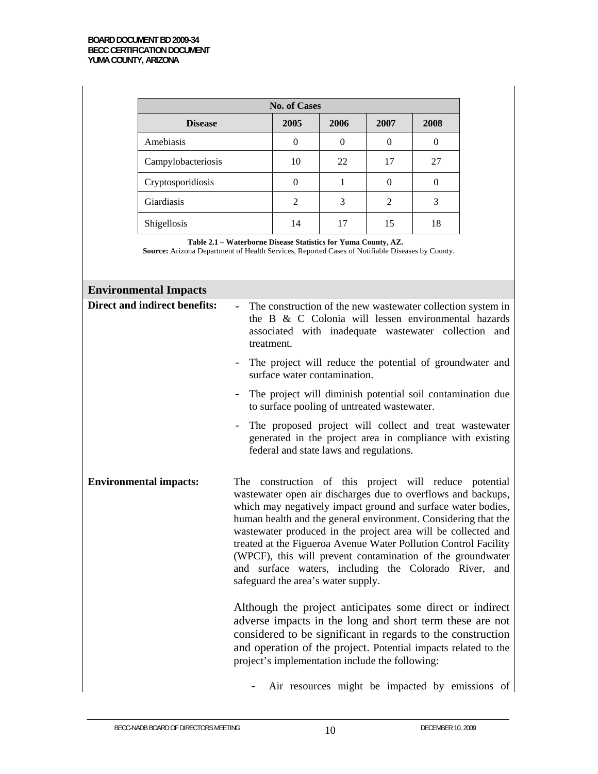| <b>No. of Cases</b> |      |      |                |      |
|---------------------|------|------|----------------|------|
| <b>Disease</b>      | 2005 | 2006 | 2007           | 2008 |
| Amebiasis           | 0    |      | $\theta$       | ∩    |
| Campylobacteriosis  | 10   | 22   | 17             | 27   |
| Cryptosporidiosis   | 0    |      | $\theta$       |      |
| Giardiasis          | 2    | 3    | $\overline{2}$ | 3    |
| Shigellosis         | 14   | 17   | 15             | 18   |

**Table 2.1 – Waterborne Disease Statistics for Yuma County, AZ.** 

**Source:** Arizona Department of Health Services, Reported Cases of Notifiable Diseases by County.

| <b>Environmental Impacts</b>  |                                                                                                                                                                                                                                                                                                                                                                                                                                                                                                                                                           |
|-------------------------------|-----------------------------------------------------------------------------------------------------------------------------------------------------------------------------------------------------------------------------------------------------------------------------------------------------------------------------------------------------------------------------------------------------------------------------------------------------------------------------------------------------------------------------------------------------------|
| Direct and indirect benefits: | The construction of the new wastewater collection system in<br>the B & C Colonia will lessen environmental hazards<br>associated with inadequate wastewater collection and<br>treatment.                                                                                                                                                                                                                                                                                                                                                                  |
|                               | - The project will reduce the potential of groundwater and<br>surface water contamination.                                                                                                                                                                                                                                                                                                                                                                                                                                                                |
|                               | The project will diminish potential soil contamination due<br>to surface pooling of untreated wastewater.                                                                                                                                                                                                                                                                                                                                                                                                                                                 |
|                               | The proposed project will collect and treat wastewater<br>generated in the project area in compliance with existing<br>federal and state laws and regulations.                                                                                                                                                                                                                                                                                                                                                                                            |
| <b>Environmental impacts:</b> | The construction of this project will reduce potential<br>wastewater open air discharges due to overflows and backups,<br>which may negatively impact ground and surface water bodies,<br>human health and the general environment. Considering that the<br>wastewater produced in the project area will be collected and<br>treated at the Figueroa Avenue Water Pollution Control Facility<br>(WPCF), this will prevent contamination of the groundwater<br>and surface waters, including the Colorado River, and<br>safeguard the area's water supply. |
|                               | Although the project anticipates some direct or indirect<br>adverse impacts in the long and short term these are not<br>considered to be significant in regards to the construction<br>and operation of the project. Potential impacts related to the<br>project's implementation include the following:                                                                                                                                                                                                                                                  |
|                               | Air resources might be impacted by emissions of                                                                                                                                                                                                                                                                                                                                                                                                                                                                                                           |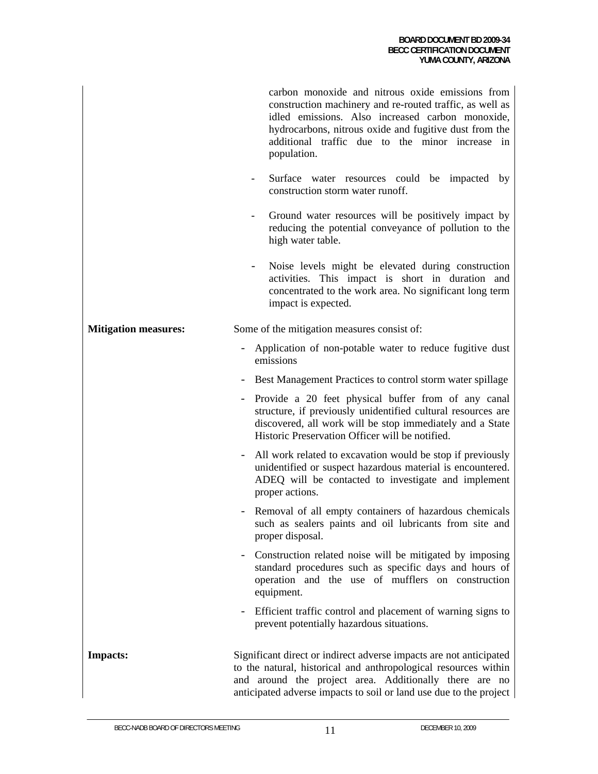|                             | carbon monoxide and nitrous oxide emissions from<br>construction machinery and re-routed traffic, as well as<br>idled emissions. Also increased carbon monoxide,<br>hydrocarbons, nitrous oxide and fugitive dust from the<br>additional traffic due to the minor increase in<br>population. |
|-----------------------------|----------------------------------------------------------------------------------------------------------------------------------------------------------------------------------------------------------------------------------------------------------------------------------------------|
|                             | Surface water resources could be impacted by<br>construction storm water runoff.                                                                                                                                                                                                             |
|                             | Ground water resources will be positively impact by<br>reducing the potential conveyance of pollution to the<br>high water table.                                                                                                                                                            |
|                             | Noise levels might be elevated during construction<br>activities. This impact is short in duration and<br>concentrated to the work area. No significant long term<br>impact is expected.                                                                                                     |
| <b>Mitigation measures:</b> | Some of the mitigation measures consist of:                                                                                                                                                                                                                                                  |
|                             | Application of non-potable water to reduce fugitive dust<br>emissions                                                                                                                                                                                                                        |
|                             | Best Management Practices to control storm water spillage                                                                                                                                                                                                                                    |
|                             | Provide a 20 feet physical buffer from of any canal<br>structure, if previously unidentified cultural resources are<br>discovered, all work will be stop immediately and a State<br>Historic Preservation Officer will be notified.                                                          |
|                             | All work related to excavation would be stop if previously<br>unidentified or suspect hazardous material is encountered.<br>ADEQ will be contacted to investigate and implement<br>proper actions.                                                                                           |
|                             | Removal of all empty containers of hazardous chemicals<br>such as sealers paints and oil lubricants from site and<br>proper disposal.                                                                                                                                                        |
|                             | Construction related noise will be mitigated by imposing<br>standard procedures such as specific days and hours of<br>operation and the use of mufflers on construction<br>equipment.                                                                                                        |
|                             | Efficient traffic control and placement of warning signs to<br>prevent potentially hazardous situations.                                                                                                                                                                                     |
| <b>Impacts:</b>             | Significant direct or indirect adverse impacts are not anticipated<br>to the natural, historical and anthropological resources within<br>and around the project area. Additionally there are no<br>anticipated adverse impacts to soil or land use due to the project                        |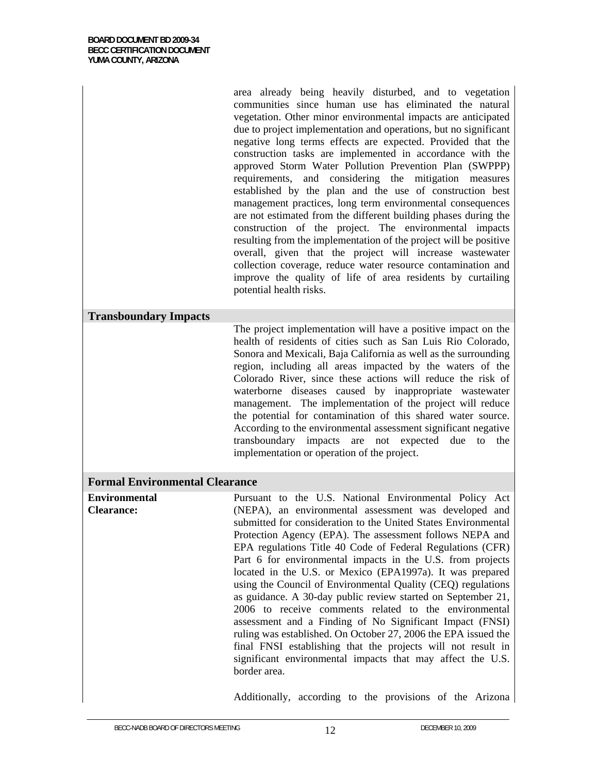area already being heavily disturbed, and to vegetation communities since human use has eliminated the natural vegetation. Other minor environmental impacts are anticipated due to project implementation and operations, but no significant negative long terms effects are expected. Provided that the construction tasks are implemented in accordance with the approved Storm Water Pollution Prevention Plan (SWPPP) requirements, and considering the mitigation measures established by the plan and the use of construction best management practices, long term environmental consequences are not estimated from the different building phases during the construction of the project. The environmental impacts resulting from the implementation of the project will be positive overall, given that the project will increase wastewater collection coverage, reduce water resource contamination and improve the quality of life of area residents by curtailing potential health risks.

#### **Transboundary Impacts**

The project implementation will have a positive impact on the health of residents of cities such as San Luis Rio Colorado, Sonora and Mexicali, Baja California as well as the surrounding region, including all areas impacted by the waters of the Colorado River, since these actions will reduce the risk of waterborne diseases caused by inappropriate wastewater management. The implementation of the project will reduce the potential for contamination of this shared water source. According to the environmental assessment significant negative transboundary impacts are not expected due to the implementation or operation of the project.

#### **Formal Environmental Clearance**

**Environmental Clearance:**  Pursuant to the U.S. National Environmental Policy Act (NEPA), an environmental assessment was developed and submitted for consideration to the United States Environmental Protection Agency (EPA). The assessment follows NEPA and EPA regulations Title 40 Code of Federal Regulations (CFR) Part 6 for environmental impacts in the U.S. from projects located in the U.S. or Mexico (EPA1997a). It was prepared using the Council of Environmental Quality (CEQ) regulations as guidance. A 30-day public review started on September 21, 2006 to receive comments related to the environmental assessment and a Finding of No Significant Impact (FNSI) ruling was established. On October 27, 2006 the EPA issued the final FNSI establishing that the projects will not result in significant environmental impacts that may affect the U.S. border area.

Additionally, according to the provisions of the Arizona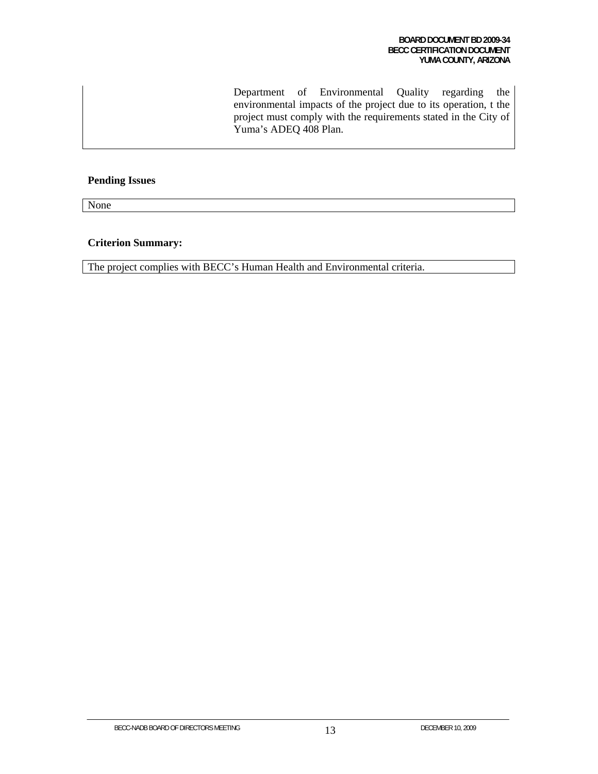Department of Environmental Quality regarding the environmental impacts of the project due to its operation, t the project must comply with the requirements stated in the City of Yuma's ADEQ 408 Plan.

## **Pending Issues**

None

#### **Criterion Summary:**

The project complies with BECC's Human Health and Environmental criteria.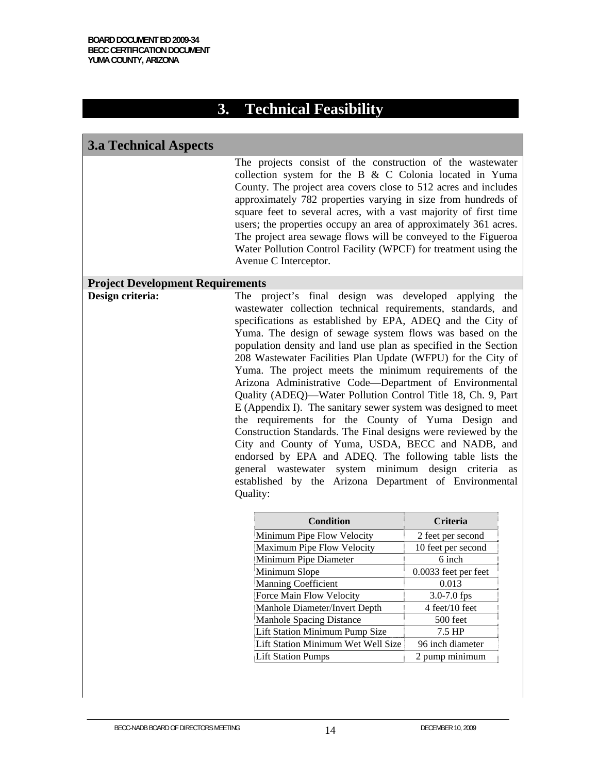# **3. Technical Feasibility**

## **3.a Technical Aspects**

The projects consist of the construction of the wastewater collection system for the B  $&$  C Colonia located in Yuma County. The project area covers close to 512 acres and includes approximately 782 properties varying in size from hundreds of square feet to several acres, with a vast majority of first time users; the properties occupy an area of approximately 361 acres. The project area sewage flows will be conveyed to the Figueroa Water Pollution Control Facility (WPCF) for treatment using the Avenue C Interceptor.

#### **Project Development Requirements**

**Design criteria:** The project's final design was developed applying the wastewater collection technical requirements, standards, and specifications as established by EPA, ADEQ and the City of Yuma. The design of sewage system flows was based on the population density and land use plan as specified in the Section 208 Wastewater Facilities Plan Update (WFPU) for the City of Yuma. The project meets the minimum requirements of the Arizona Administrative Code—Department of Environmental Quality (ADEQ)—Water Pollution Control Title 18, Ch. 9, Part E (Appendix I). The sanitary sewer system was designed to meet the requirements for the County of Yuma Design and Construction Standards. The Final designs were reviewed by the City and County of Yuma, USDA, BECC and NADB, and endorsed by EPA and ADEQ. The following table lists the general wastewater system minimum design criteria as established by the Arizona Department of Environmental Quality:

| Condition                          | <b>Criteria</b>      |
|------------------------------------|----------------------|
| Minimum Pipe Flow Velocity         | 2 feet per second    |
| Maximum Pipe Flow Velocity         | 10 feet per second   |
| Minimum Pipe Diameter              | 6 inch               |
| Minimum Slope                      | 0.0033 feet per feet |
| <b>Manning Coefficient</b>         | 0.013                |
| Force Main Flow Velocity           | 3.0-7.0 fps          |
| Manhole Diameter/Invert Depth      | 4 feet/10 feet       |
| Manhole Spacing Distance           | 500 feet             |
| Lift Station Minimum Pump Size     | 7.5 HP               |
| Lift Station Minimum Wet Well Size | 96 inch diameter     |
| Lift Station Pumps                 | 2 pump minimum       |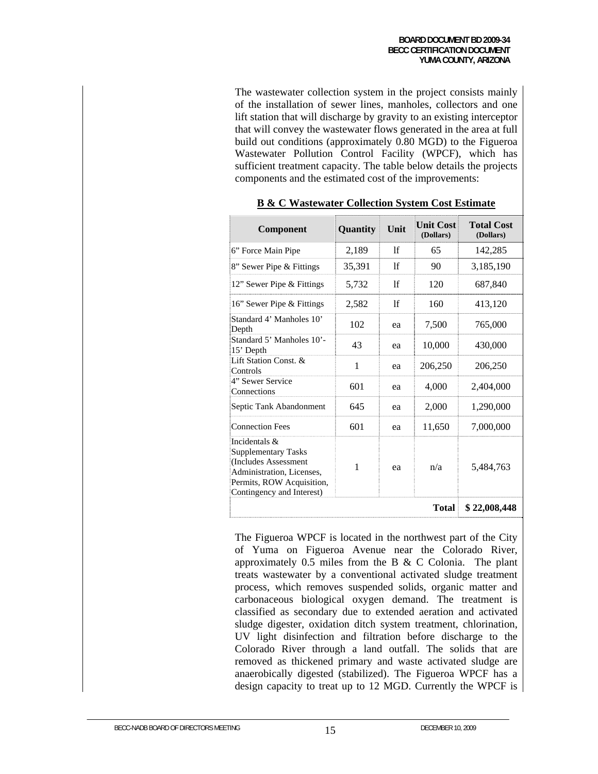The wastewater collection system in the project consists mainly of the installation of sewer lines, manholes, collectors and one lift station that will discharge by gravity to an existing interceptor that will convey the wastewater flows generated in the area at full build out conditions (approximately 0.80 MGD) to the Figueroa Wastewater Pollution Control Facility (WPCF), which has sufficient treatment capacity. The table below details the projects components and the estimated cost of the improvements:

| Component                                                                                                                                                  | Quantity | Unit | <b>Unit Cost</b><br>(Dollars) | <b>Total Cost</b><br>(Dollars) |
|------------------------------------------------------------------------------------------------------------------------------------------------------------|----------|------|-------------------------------|--------------------------------|
| 6" Force Main Pipe                                                                                                                                         | 2,189    | lf   | 65                            | 142,285                        |
| 8" Sewer Pipe & Fittings                                                                                                                                   | 35,391   | lf   | 90                            | 3,185,190                      |
| 12" Sewer Pipe & Fittings                                                                                                                                  | 5,732    | lf   | 120                           | 687,840                        |
| 16" Sewer Pipe & Fittings                                                                                                                                  | 2,582    | 1f   | 160                           | 413,120                        |
| Standard 4' Manholes 10'<br>Depth                                                                                                                          | 102      | ea   | 7,500                         | 765,000                        |
| Standard 5' Manholes 10'-<br>15' Depth                                                                                                                     | 43       | ea   | 10,000                        | 430,000                        |
| Lift Station Const. &<br>Controls                                                                                                                          | 1        | ea   | 206,250                       | 206,250                        |
| 4" Sewer Service<br>Connections                                                                                                                            | 601      | ea   | 4,000                         | 2,404,000                      |
| Septic Tank Abandonment                                                                                                                                    | 645      | ea   | 2,000                         | 1,290,000                      |
| <b>Connection Fees</b>                                                                                                                                     | 601      | ea   | 11,650                        | 7,000,000                      |
| Incidentals &<br><b>Supplementary Tasks</b><br>(Includes Assessment<br>Administration, Licenses,<br>Permits, ROW Acquisition,<br>Contingency and Interest) | 1        | ea   | n/a                           | 5,484,763                      |
|                                                                                                                                                            |          |      | <b>Total</b>                  | \$22,008,448                   |

|  |  |  |  |  |  | <b>B &amp; C Wastewater Collection System Cost Estimate</b> |
|--|--|--|--|--|--|-------------------------------------------------------------|
|--|--|--|--|--|--|-------------------------------------------------------------|

The Figueroa WPCF is located in the northwest part of the City of Yuma on Figueroa Avenue near the Colorado River, approximately  $0.5$  miles from the B & C Colonia. The plant treats wastewater by a conventional activated sludge treatment process, which removes suspended solids, organic matter and carbonaceous biological oxygen demand. The treatment is classified as secondary due to extended aeration and activated sludge digester, oxidation ditch system treatment, chlorination, UV light disinfection and filtration before discharge to the Colorado River through a land outfall. The solids that are removed as thickened primary and waste activated sludge are anaerobically digested (stabilized). The Figueroa WPCF has a design capacity to treat up to 12 MGD. Currently the WPCF is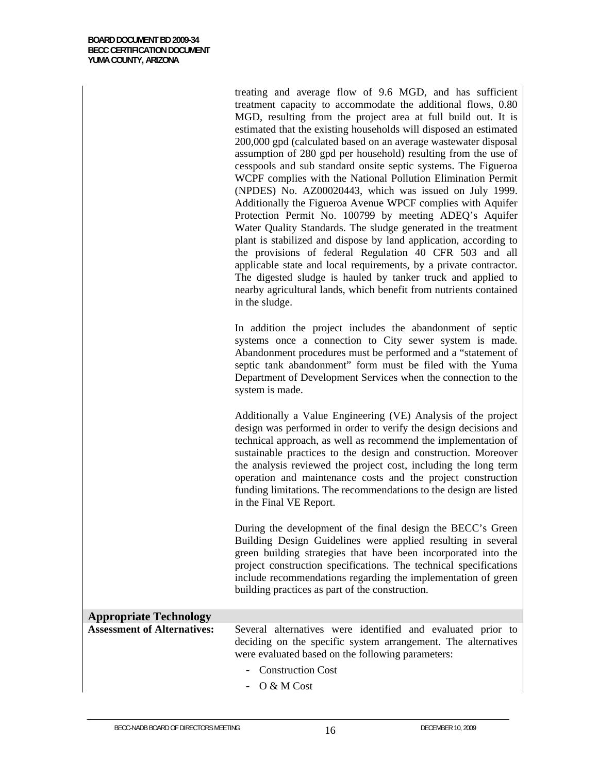| treating and average flow of 9.6 MGD, and has sufficient<br>treatment capacity to accommodate the additional flows, 0.80<br>MGD, resulting from the project area at full build out. It is<br>estimated that the existing households will disposed an estimated<br>200,000 gpd (calculated based on an average wastewater disposal |
|-----------------------------------------------------------------------------------------------------------------------------------------------------------------------------------------------------------------------------------------------------------------------------------------------------------------------------------|
| assumption of 280 gpd per household) resulting from the use of                                                                                                                                                                                                                                                                    |
| cesspools and sub standard onsite septic systems. The Figueroa                                                                                                                                                                                                                                                                    |
| WCPF complies with the National Pollution Elimination Permit                                                                                                                                                                                                                                                                      |
| (NPDES) No. AZ00020443, which was issued on July 1999.                                                                                                                                                                                                                                                                            |
| Additionally the Figueroa Avenue WPCF complies with Aquifer                                                                                                                                                                                                                                                                       |
| Protection Permit No. 100799 by meeting ADEQ's Aquifer                                                                                                                                                                                                                                                                            |
| Water Quality Standards. The sludge generated in the treatment                                                                                                                                                                                                                                                                    |
| plant is stabilized and dispose by land application, according to                                                                                                                                                                                                                                                                 |
| the provisions of federal Regulation 40 CFR 503 and all                                                                                                                                                                                                                                                                           |
| applicable state and local requirements, by a private contractor.                                                                                                                                                                                                                                                                 |
| The digested sludge is hauled by tanker truck and applied to<br>nearby agricultural lands, which benefit from nutrients contained                                                                                                                                                                                                 |
| in the sludge.                                                                                                                                                                                                                                                                                                                    |

In addition the project includes the abandonment of septic systems once a connection to City sewer system is made. Abandonment procedures must be performed and a "statement of septic tank abandonment" form must be filed with the Yuma Department of Development Services when the connection to the system is made.

Additionally a Value Engineering (VE) Analysis of the project design was performed in order to verify the design decisions and technical approach, as well as recommend the implementation of sustainable practices to the design and construction. Moreover the analysis reviewed the project cost, including the long term operation and maintenance costs and the project construction funding limitations. The recommendations to the design are listed in the Final VE Report.

During the development of the final design the BECC's Green Building Design Guidelines were applied resulting in several green building strategies that have been incorporated into the project construction specifications. The technical specifications include recommendations regarding the implementation of green building practices as part of the construction.

# **Appropriate Technology**  Several alternatives were identified and evaluated prior to deciding on the specific system arrangement. The alternatives were evaluated based on the following parameters:

- Construction Cost
- O & M Cost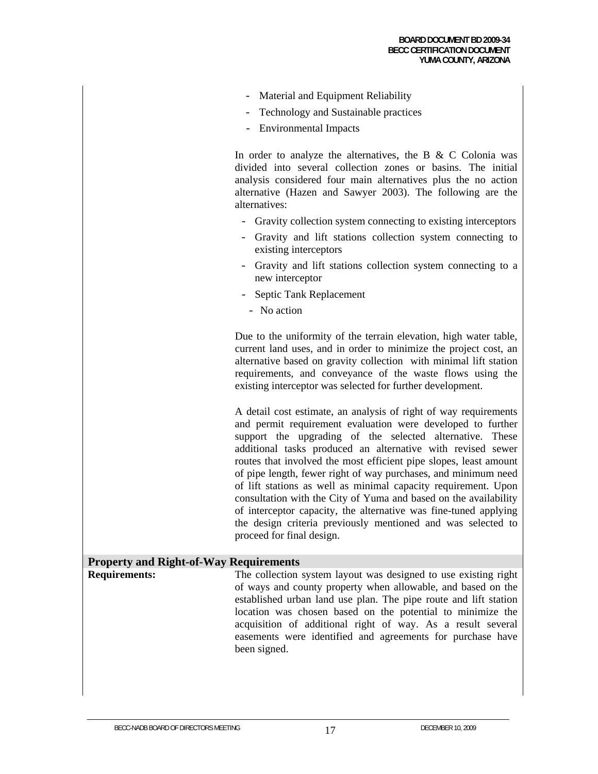- Material and Equipment Reliability
- Technology and Sustainable practices
- Environmental Impacts

In order to analyze the alternatives, the B  $&$  C Colonia was divided into several collection zones or basins. The initial analysis considered four main alternatives plus the no action alternative (Hazen and Sawyer 2003). The following are the alternatives:

- Gravity collection system connecting to existing interceptors
- Gravity and lift stations collection system connecting to existing interceptors
- Gravity and lift stations collection system connecting to a new interceptor
- Septic Tank Replacement
	- No action

Due to the uniformity of the terrain elevation, high water table, current land uses, and in order to minimize the project cost, an alternative based on gravity collection with minimal lift station requirements, and conveyance of the waste flows using the existing interceptor was selected for further development.

A detail cost estimate, an analysis of right of way requirements and permit requirement evaluation were developed to further support the upgrading of the selected alternative. These additional tasks produced an alternative with revised sewer routes that involved the most efficient pipe slopes, least amount of pipe length, fewer right of way purchases, and minimum need of lift stations as well as minimal capacity requirement. Upon consultation with the City of Yuma and based on the availability of interceptor capacity, the alternative was fine-tuned applying the design criteria previously mentioned and was selected to proceed for final design.

## **Property and Right-of-Way Requirements**

**Requirements:** The collection system layout was designed to use existing right of ways and county property when allowable, and based on the established urban land use plan. The pipe route and lift station location was chosen based on the potential to minimize the acquisition of additional right of way. As a result several easements were identified and agreements for purchase have been signed.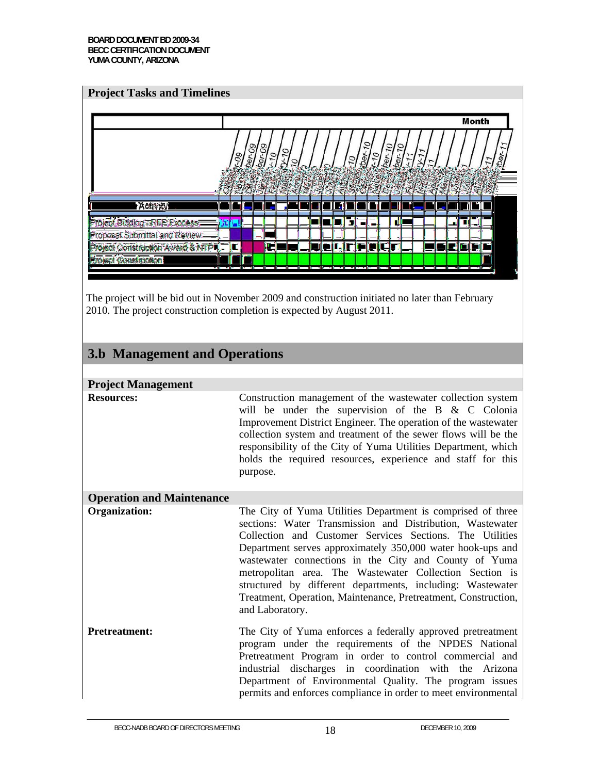#### **Project Tasks and Timelines**



The project will be bid out in November 2009 and construction initiated no later than February 2010. The project construction completion is expected by August 2011.

# **3.b Management and Operations**

| <b>Project Management</b>        |                                                                                                                                                                                                                                                                                                                                                                                                                                                                                                                           |
|----------------------------------|---------------------------------------------------------------------------------------------------------------------------------------------------------------------------------------------------------------------------------------------------------------------------------------------------------------------------------------------------------------------------------------------------------------------------------------------------------------------------------------------------------------------------|
| <b>Resources:</b>                | Construction management of the wastewater collection system<br>will be under the supervision of the B $\&$ C Colonia<br>Improvement District Engineer. The operation of the wastewater<br>collection system and treatment of the sewer flows will be the<br>responsibility of the City of Yuma Utilities Department, which<br>holds the required resources, experience and staff for this<br>purpose.                                                                                                                     |
| <b>Operation and Maintenance</b> |                                                                                                                                                                                                                                                                                                                                                                                                                                                                                                                           |
| Organization:                    | The City of Yuma Utilities Department is comprised of three<br>sections: Water Transmission and Distribution, Wastewater<br>Collection and Customer Services Sections. The Utilities<br>Department serves approximately 350,000 water hook-ups and<br>wastewater connections in the City and County of Yuma<br>metropolitan area. The Wastewater Collection Section is<br>structured by different departments, including: Wastewater<br>Treatment, Operation, Maintenance, Pretreatment, Construction,<br>and Laboratory. |
| <b>Pretreatment:</b>             | The City of Yuma enforces a federally approved pretreatment<br>program under the requirements of the NPDES National<br>Pretreatment Program in order to control commercial and<br>industrial discharges in coordination with the Arizona<br>Department of Environmental Quality. The program issues<br>permits and enforces compliance in order to meet environmental                                                                                                                                                     |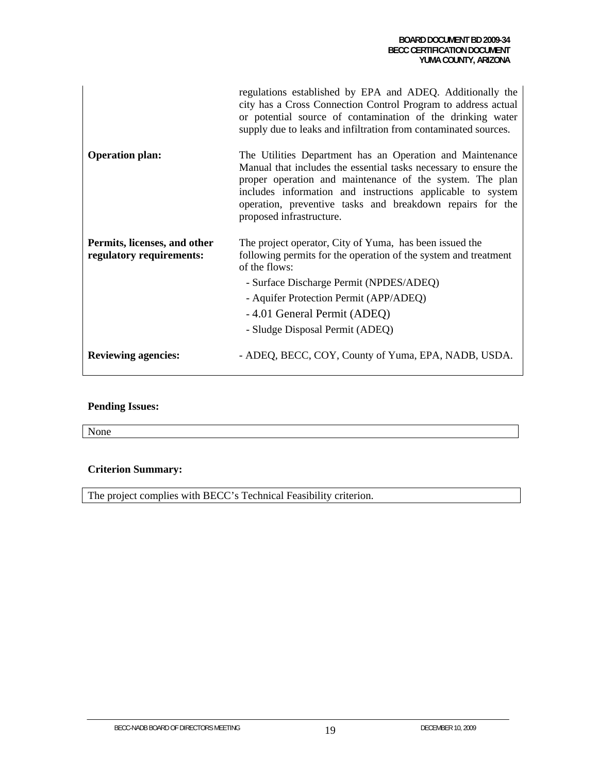|                                                          | regulations established by EPA and ADEQ. Additionally the<br>city has a Cross Connection Control Program to address actual<br>or potential source of contamination of the drinking water<br>supply due to leaks and infiltration from contaminated sources.                                                                                      |
|----------------------------------------------------------|--------------------------------------------------------------------------------------------------------------------------------------------------------------------------------------------------------------------------------------------------------------------------------------------------------------------------------------------------|
| <b>Operation plan:</b>                                   | The Utilities Department has an Operation and Maintenance<br>Manual that includes the essential tasks necessary to ensure the<br>proper operation and maintenance of the system. The plan<br>includes information and instructions applicable to system<br>operation, preventive tasks and breakdown repairs for the<br>proposed infrastructure. |
| Permits, licenses, and other<br>regulatory requirements: | The project operator, City of Yuma, has been issued the<br>following permits for the operation of the system and treatment<br>of the flows:                                                                                                                                                                                                      |
|                                                          | - Surface Discharge Permit (NPDES/ADEQ)                                                                                                                                                                                                                                                                                                          |
|                                                          | - Aquifer Protection Permit (APP/ADEQ)                                                                                                                                                                                                                                                                                                           |
|                                                          | -4.01 General Permit (ADEQ)                                                                                                                                                                                                                                                                                                                      |
|                                                          | - Sludge Disposal Permit (ADEQ)                                                                                                                                                                                                                                                                                                                  |
| <b>Reviewing agencies:</b>                               | - ADEQ, BECC, COY, County of Yuma, EPA, NADB, USDA.                                                                                                                                                                                                                                                                                              |

# **Pending Issues:**

None

# **Criterion Summary:**

The project complies with BECC's Technical Feasibility criterion.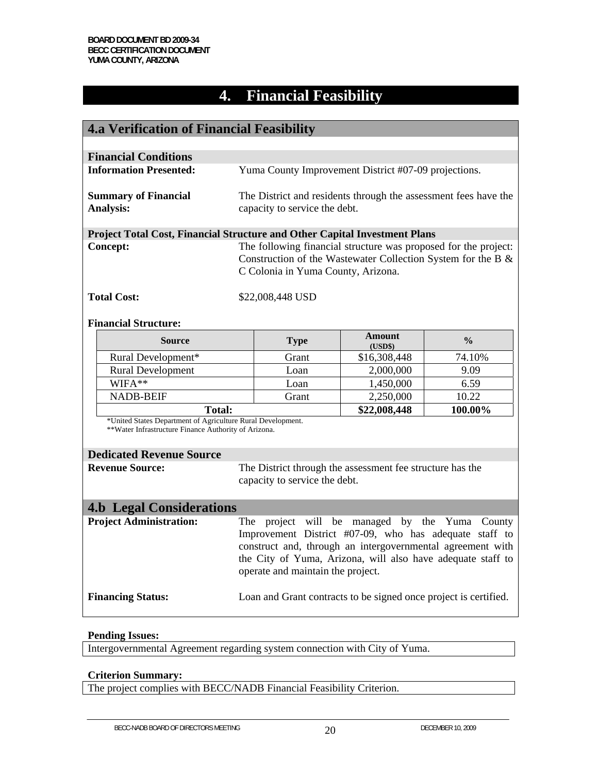# **4. Financial Feasibility**

| <b>4.a Verification of Financial Feasibility</b>                                                                    |                                                                                                                                                                                                                                                                            |                                                                  |                          |                                                                 |
|---------------------------------------------------------------------------------------------------------------------|----------------------------------------------------------------------------------------------------------------------------------------------------------------------------------------------------------------------------------------------------------------------------|------------------------------------------------------------------|--------------------------|-----------------------------------------------------------------|
|                                                                                                                     |                                                                                                                                                                                                                                                                            |                                                                  |                          |                                                                 |
| <b>Financial Conditions</b>                                                                                         |                                                                                                                                                                                                                                                                            |                                                                  |                          |                                                                 |
| <b>Information Presented:</b>                                                                                       |                                                                                                                                                                                                                                                                            | Yuma County Improvement District #07-09 projections.             |                          |                                                                 |
| <b>Summary of Financial</b><br><b>Analysis:</b>                                                                     |                                                                                                                                                                                                                                                                            | capacity to service the debt.                                    |                          | The District and residents through the assessment fees have the |
| Project Total Cost, Financial Structure and Other Capital Investment Plans                                          |                                                                                                                                                                                                                                                                            |                                                                  |                          |                                                                 |
| <b>Concept:</b>                                                                                                     | The following financial structure was proposed for the project:<br>Construction of the Wastewater Collection System for the B &<br>C Colonia in Yuma County, Arizona.                                                                                                      |                                                                  |                          |                                                                 |
| <b>Total Cost:</b>                                                                                                  |                                                                                                                                                                                                                                                                            | \$22,008,448 USD                                                 |                          |                                                                 |
| <b>Financial Structure:</b>                                                                                         |                                                                                                                                                                                                                                                                            |                                                                  |                          |                                                                 |
| <b>Source</b>                                                                                                       |                                                                                                                                                                                                                                                                            | <b>Type</b>                                                      | <b>Amount</b><br>(USD\$) | $\frac{0}{0}$                                                   |
| Rural Development*                                                                                                  |                                                                                                                                                                                                                                                                            | Grant                                                            | \$16,308,448             | 74.10%                                                          |
| <b>Rural Development</b>                                                                                            |                                                                                                                                                                                                                                                                            | Loan                                                             | 2,000,000                | 9.09                                                            |
| WIFA**                                                                                                              |                                                                                                                                                                                                                                                                            | Loan                                                             | 1,450,000                | 6.59                                                            |
| <b>NADB-BEIF</b>                                                                                                    |                                                                                                                                                                                                                                                                            | Grant                                                            | 2,250,000                | 10.22                                                           |
| \$22,008,448<br><b>Total:</b>                                                                                       |                                                                                                                                                                                                                                                                            |                                                                  | 100.00%                  |                                                                 |
| *United States Department of Agriculture Rural Development.<br>**Water Infrastructure Finance Authority of Arizona. |                                                                                                                                                                                                                                                                            |                                                                  |                          |                                                                 |
| <b>Dedicated Revenue Source</b>                                                                                     |                                                                                                                                                                                                                                                                            |                                                                  |                          |                                                                 |
| <b>Revenue Source:</b>                                                                                              | The District through the assessment fee structure has the<br>capacity to service the debt.                                                                                                                                                                                 |                                                                  |                          |                                                                 |
| <b>4.b Legal Considerations</b>                                                                                     |                                                                                                                                                                                                                                                                            |                                                                  |                          |                                                                 |
| <b>Project Administration:</b>                                                                                      | The project will be managed by the Yuma County<br>Improvement District #07-09, who has adequate staff to<br>construct and, through an intergovernmental agreement with<br>the City of Yuma, Arizona, will also have adequate staff to<br>operate and maintain the project. |                                                                  |                          |                                                                 |
| <b>Financing Status:</b>                                                                                            |                                                                                                                                                                                                                                                                            | Loan and Grant contracts to be signed once project is certified. |                          |                                                                 |

#### **Pending Issues:**

Intergovernmental Agreement regarding system connection with City of Yuma.

#### **Criterion Summary:**

The project complies with BECC/NADB Financial Feasibility Criterion.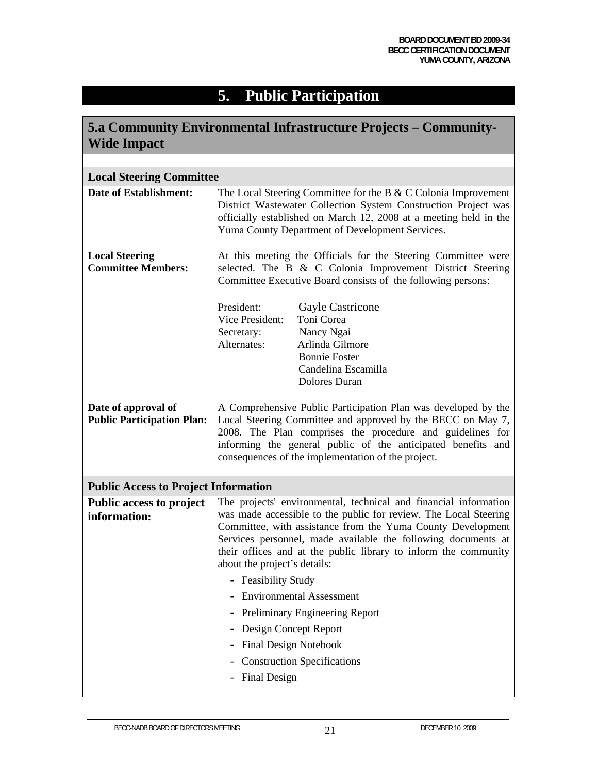# **5. Public Participation**

| <b>Wide Impact</b>                                       |                                                                                                                                                                                                                                                                                                                                                                         | 5.a Community Environmental Infrastructure Projects – Community-                                                                                                                                                                                                                                                 |
|----------------------------------------------------------|-------------------------------------------------------------------------------------------------------------------------------------------------------------------------------------------------------------------------------------------------------------------------------------------------------------------------------------------------------------------------|------------------------------------------------------------------------------------------------------------------------------------------------------------------------------------------------------------------------------------------------------------------------------------------------------------------|
|                                                          |                                                                                                                                                                                                                                                                                                                                                                         |                                                                                                                                                                                                                                                                                                                  |
| <b>Local Steering Committee</b>                          |                                                                                                                                                                                                                                                                                                                                                                         |                                                                                                                                                                                                                                                                                                                  |
| <b>Date of Establishment:</b>                            | The Local Steering Committee for the B & C Colonia Improvement<br>District Wastewater Collection System Construction Project was<br>officially established on March 12, 2008 at a meeting held in the<br>Yuma County Department of Development Services.                                                                                                                |                                                                                                                                                                                                                                                                                                                  |
| <b>Local Steering</b><br><b>Committee Members:</b>       | At this meeting the Officials for the Steering Committee were<br>selected. The B & C Colonia Improvement District Steering<br>Committee Executive Board consists of the following persons:                                                                                                                                                                              |                                                                                                                                                                                                                                                                                                                  |
|                                                          | President:<br>Vice President:<br>Secretary:<br>Alternates:                                                                                                                                                                                                                                                                                                              | Gayle Castricone<br>Toni Corea<br>Nancy Ngai<br>Arlinda Gilmore<br><b>Bonnie Foster</b><br>Candelina Escamilla<br>Dolores Duran                                                                                                                                                                                  |
| Date of approval of<br><b>Public Participation Plan:</b> |                                                                                                                                                                                                                                                                                                                                                                         | A Comprehensive Public Participation Plan was developed by the<br>Local Steering Committee and approved by the BECC on May 7,<br>2008. The Plan comprises the procedure and guidelines for<br>informing the general public of the anticipated benefits and<br>consequences of the implementation of the project. |
| <b>Public Access to Project Information</b>              |                                                                                                                                                                                                                                                                                                                                                                         |                                                                                                                                                                                                                                                                                                                  |
| <b>Public access to project</b><br>information:          | The projects' environmental, technical and financial information<br>was made accessible to the public for review. The Local Steering<br>Committee, with assistance from the Yuma County Development<br>Services personnel, made available the following documents at<br>their offices and at the public library to inform the community<br>about the project's details: |                                                                                                                                                                                                                                                                                                                  |
|                                                          | - Feasibility Study                                                                                                                                                                                                                                                                                                                                                     |                                                                                                                                                                                                                                                                                                                  |
|                                                          |                                                                                                                                                                                                                                                                                                                                                                         | <b>Environmental Assessment</b>                                                                                                                                                                                                                                                                                  |
|                                                          |                                                                                                                                                                                                                                                                                                                                                                         | Preliminary Engineering Report                                                                                                                                                                                                                                                                                   |
|                                                          | Design Concept Report                                                                                                                                                                                                                                                                                                                                                   |                                                                                                                                                                                                                                                                                                                  |
|                                                          | <b>Final Design Notebook</b>                                                                                                                                                                                                                                                                                                                                            |                                                                                                                                                                                                                                                                                                                  |
|                                                          |                                                                                                                                                                                                                                                                                                                                                                         | <b>Construction Specifications</b>                                                                                                                                                                                                                                                                               |
|                                                          | <b>Final Design</b>                                                                                                                                                                                                                                                                                                                                                     |                                                                                                                                                                                                                                                                                                                  |
|                                                          |                                                                                                                                                                                                                                                                                                                                                                         |                                                                                                                                                                                                                                                                                                                  |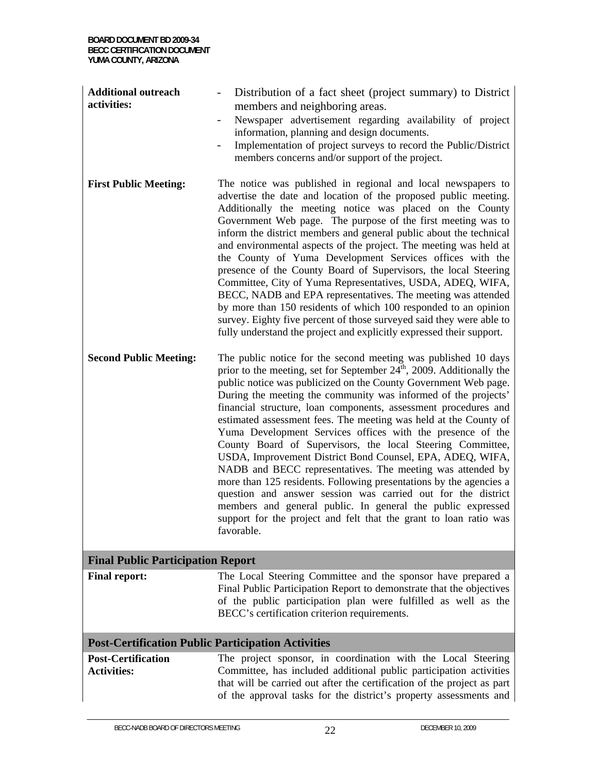| <b>Additional outreach</b><br>activities:       | Distribution of a fact sheet (project summary) to District<br>members and neighboring areas.<br>Newspaper advertisement regarding availability of project<br>$\overline{\phantom{a}}$<br>information, planning and design documents.<br>Implementation of project surveys to record the Public/District<br>$\qquad \qquad -$<br>members concerns and/or support of the project.                                                                                                                                                                                                                                                                                                                                                                                                                                                                                                                                                                                                |  |  |
|-------------------------------------------------|--------------------------------------------------------------------------------------------------------------------------------------------------------------------------------------------------------------------------------------------------------------------------------------------------------------------------------------------------------------------------------------------------------------------------------------------------------------------------------------------------------------------------------------------------------------------------------------------------------------------------------------------------------------------------------------------------------------------------------------------------------------------------------------------------------------------------------------------------------------------------------------------------------------------------------------------------------------------------------|--|--|
| <b>First Public Meeting:</b>                    | The notice was published in regional and local newspapers to<br>advertise the date and location of the proposed public meeting.<br>Additionally the meeting notice was placed on the County<br>Government Web page. The purpose of the first meeting was to<br>inform the district members and general public about the technical<br>and environmental aspects of the project. The meeting was held at<br>the County of Yuma Development Services offices with the<br>presence of the County Board of Supervisors, the local Steering<br>Committee, City of Yuma Representatives, USDA, ADEQ, WIFA,<br>BECC, NADB and EPA representatives. The meeting was attended<br>by more than 150 residents of which 100 responded to an opinion<br>survey. Eighty five percent of those surveyed said they were able to<br>fully understand the project and explicitly expressed their support.                                                                                         |  |  |
| <b>Second Public Meeting:</b>                   | The public notice for the second meeting was published 10 days<br>prior to the meeting, set for September $24^{\text{th}}$ , 2009. Additionally the<br>public notice was publicized on the County Government Web page.<br>During the meeting the community was informed of the projects'<br>financial structure, loan components, assessment procedures and<br>estimated assessment fees. The meeting was held at the County of<br>Yuma Development Services offices with the presence of the<br>County Board of Supervisors, the local Steering Committee,<br>USDA, Improvement District Bond Counsel, EPA, ADEQ, WIFA,<br>NADB and BECC representatives. The meeting was attended by<br>more than 125 residents. Following presentations by the agencies a<br>question and answer session was carried out for the district<br>members and general public. In general the public expressed<br>support for the project and felt that the grant to loan ratio was<br>favorable. |  |  |
| <b>Final Public Participation Report</b>        |                                                                                                                                                                                                                                                                                                                                                                                                                                                                                                                                                                                                                                                                                                                                                                                                                                                                                                                                                                                |  |  |
| <b>Final report:</b>                            | The Local Steering Committee and the sponsor have prepared a<br>Final Public Participation Report to demonstrate that the objectives<br>of the public participation plan were fulfilled as well as the<br>BECC's certification criterion requirements.                                                                                                                                                                                                                                                                                                                                                                                                                                                                                                                                                                                                                                                                                                                         |  |  |
|                                                 | <b>Post-Certification Public Participation Activities</b>                                                                                                                                                                                                                                                                                                                                                                                                                                                                                                                                                                                                                                                                                                                                                                                                                                                                                                                      |  |  |
| <b>Post-Certification</b><br><b>Activities:</b> | The project sponsor, in coordination with the Local Steering<br>Committee, has included additional public participation activities<br>that will be carried out after the certification of the project as part<br>of the approval tasks for the district's property assessments and                                                                                                                                                                                                                                                                                                                                                                                                                                                                                                                                                                                                                                                                                             |  |  |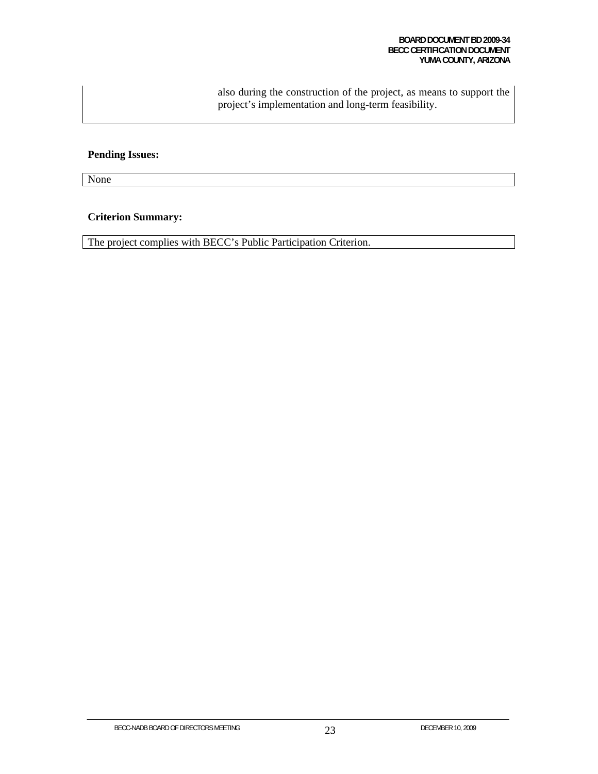also during the construction of the project, as means to support the project's implementation and long-term feasibility.

# **Pending Issues:**

None

## **Criterion Summary:**

The project complies with BECC's Public Participation Criterion.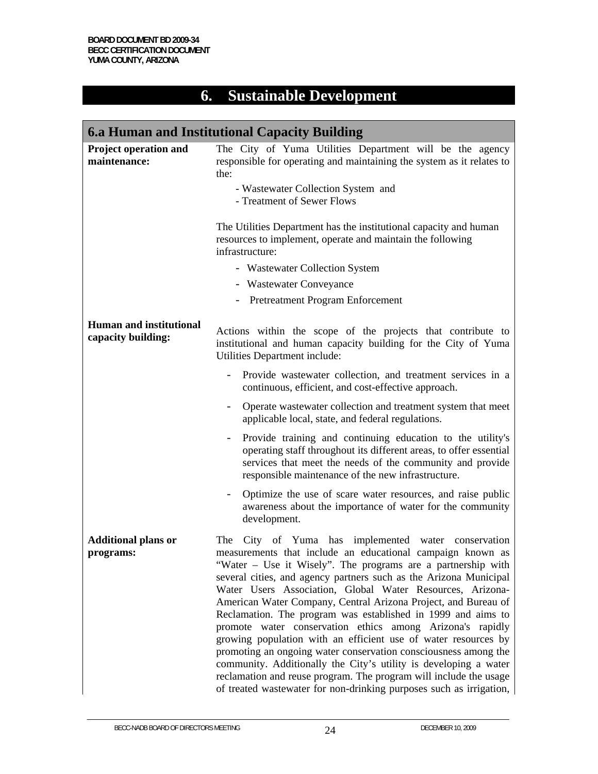# **6. Sustainable Development**

|                                                      | 6.a Human and Institutional Capacity Building                                                                                                                                                                                                                                                                                                                                                                                                                                                                                                                                                                                                                                                                                                                                                                                                                              |
|------------------------------------------------------|----------------------------------------------------------------------------------------------------------------------------------------------------------------------------------------------------------------------------------------------------------------------------------------------------------------------------------------------------------------------------------------------------------------------------------------------------------------------------------------------------------------------------------------------------------------------------------------------------------------------------------------------------------------------------------------------------------------------------------------------------------------------------------------------------------------------------------------------------------------------------|
| <b>Project operation and</b><br>maintenance:         | The City of Yuma Utilities Department will be the agency<br>responsible for operating and maintaining the system as it relates to<br>the:<br>- Wastewater Collection System and<br>- Treatment of Sewer Flows<br>The Utilities Department has the institutional capacity and human<br>resources to implement, operate and maintain the following<br>infrastructure:<br>- Wastewater Collection System<br>- Wastewater Conveyance                                                                                                                                                                                                                                                                                                                                                                                                                                           |
|                                                      | - Pretreatment Program Enforcement                                                                                                                                                                                                                                                                                                                                                                                                                                                                                                                                                                                                                                                                                                                                                                                                                                         |
| <b>Human and institutional</b><br>capacity building: | Actions within the scope of the projects that contribute to<br>institutional and human capacity building for the City of Yuma<br>Utilities Department include:                                                                                                                                                                                                                                                                                                                                                                                                                                                                                                                                                                                                                                                                                                             |
|                                                      | Provide wastewater collection, and treatment services in a<br>continuous, efficient, and cost-effective approach.                                                                                                                                                                                                                                                                                                                                                                                                                                                                                                                                                                                                                                                                                                                                                          |
|                                                      | Operate wastewater collection and treatment system that meet<br>applicable local, state, and federal regulations.                                                                                                                                                                                                                                                                                                                                                                                                                                                                                                                                                                                                                                                                                                                                                          |
|                                                      | Provide training and continuing education to the utility's<br>operating staff throughout its different areas, to offer essential<br>services that meet the needs of the community and provide<br>responsible maintenance of the new infrastructure.                                                                                                                                                                                                                                                                                                                                                                                                                                                                                                                                                                                                                        |
|                                                      | Optimize the use of scare water resources, and raise public<br>awareness about the importance of water for the community<br>development.                                                                                                                                                                                                                                                                                                                                                                                                                                                                                                                                                                                                                                                                                                                                   |
| <b>Additional plans or</b><br>programs:              | City of Yuma has implemented water conservation<br>The<br>measurements that include an educational campaign known as<br>"Water – Use it Wisely". The programs are a partnership with<br>several cities, and agency partners such as the Arizona Municipal<br>Water Users Association, Global Water Resources, Arizona-<br>American Water Company, Central Arizona Project, and Bureau of<br>Reclamation. The program was established in 1999 and aims to<br>promote water conservation ethics among Arizona's rapidly<br>growing population with an efficient use of water resources by<br>promoting an ongoing water conservation consciousness among the<br>community. Additionally the City's utility is developing a water<br>reclamation and reuse program. The program will include the usage<br>of treated wastewater for non-drinking purposes such as irrigation, |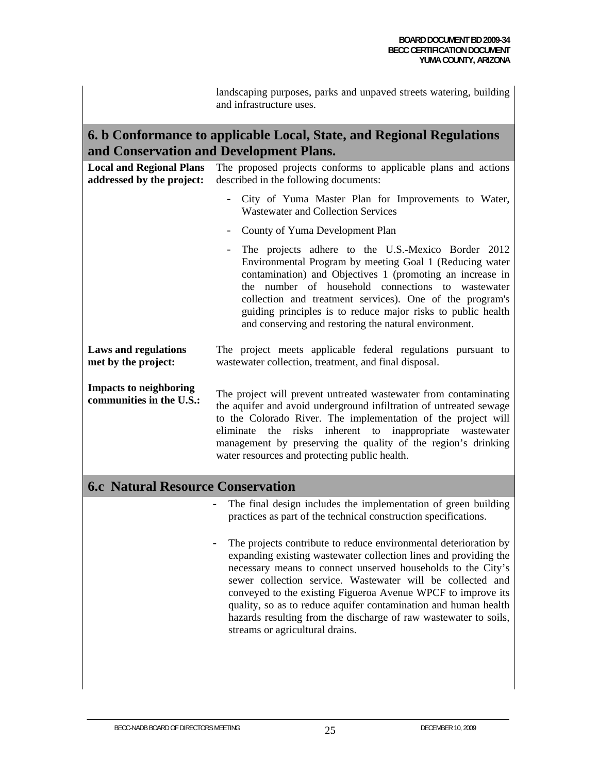|                                                              | landscaping purposes, parks and unpaved streets watering, building<br>and infrastructure uses.                                                                                                                                                                                                                                                                                                                                                                                                               |
|--------------------------------------------------------------|--------------------------------------------------------------------------------------------------------------------------------------------------------------------------------------------------------------------------------------------------------------------------------------------------------------------------------------------------------------------------------------------------------------------------------------------------------------------------------------------------------------|
|                                                              | 6. b Conformance to applicable Local, State, and Regional Regulations<br>and Conservation and Development Plans.                                                                                                                                                                                                                                                                                                                                                                                             |
| <b>Local and Regional Plans</b><br>addressed by the project: | The proposed projects conforms to applicable plans and actions<br>described in the following documents:                                                                                                                                                                                                                                                                                                                                                                                                      |
|                                                              | City of Yuma Master Plan for Improvements to Water,<br>$\overline{\phantom{0}}$<br><b>Wastewater and Collection Services</b>                                                                                                                                                                                                                                                                                                                                                                                 |
|                                                              | County of Yuma Development Plan                                                                                                                                                                                                                                                                                                                                                                                                                                                                              |
|                                                              | The projects adhere to the U.S.-Mexico Border 2012<br>Environmental Program by meeting Goal 1 (Reducing water<br>contamination) and Objectives 1 (promoting an increase in<br>the number of household connections to wastewater<br>collection and treatment services). One of the program's<br>guiding principles is to reduce major risks to public health<br>and conserving and restoring the natural environment.                                                                                         |
| <b>Laws and regulations</b><br>met by the project:           | The project meets applicable federal regulations pursuant to<br>wastewater collection, treatment, and final disposal.                                                                                                                                                                                                                                                                                                                                                                                        |
| <b>Impacts to neighboring</b><br>communities in the U.S.:    | The project will prevent untreated wastewater from contaminating<br>the aquifer and avoid underground infiltration of untreated sewage<br>to the Colorado River. The implementation of the project will<br>risks inherent to inappropriate wastewater<br>eliminate<br>the<br>management by preserving the quality of the region's drinking<br>water resources and protecting public health.                                                                                                                  |
| <b>6.c Natural Resource Conservation</b>                     |                                                                                                                                                                                                                                                                                                                                                                                                                                                                                                              |
|                                                              | The final design includes the implementation of green building<br>practices as part of the technical construction specifications.                                                                                                                                                                                                                                                                                                                                                                            |
|                                                              | The projects contribute to reduce environmental deterioration by<br>expanding existing wastewater collection lines and providing the<br>necessary means to connect unserved households to the City's<br>sewer collection service. Wastewater will be collected and<br>conveyed to the existing Figueroa Avenue WPCF to improve its<br>quality, so as to reduce aquifer contamination and human health<br>hazards resulting from the discharge of raw wastewater to soils,<br>streams or agricultural drains. |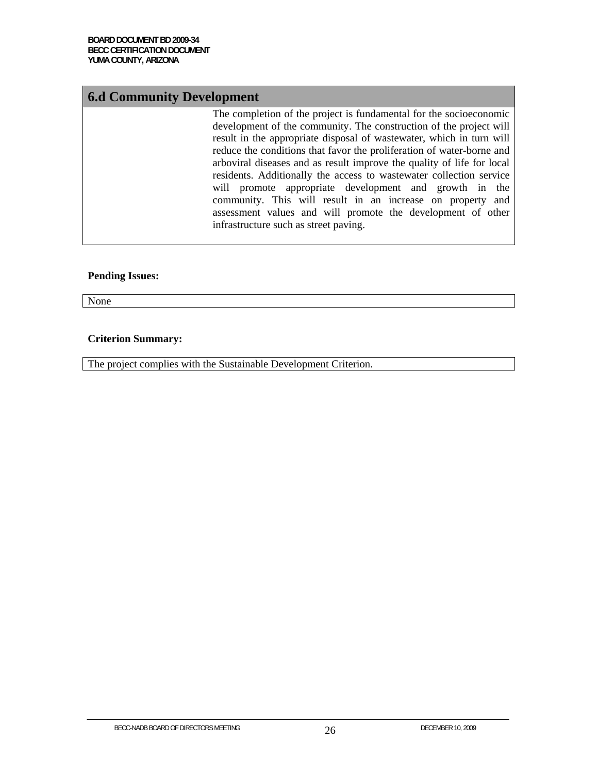# **6.d Community Development**

The completion of the project is fundamental for the socioeconomic development of the community. The construction of the project will result in the appropriate disposal of wastewater, which in turn will reduce the conditions that favor the proliferation of water-borne and arboviral diseases and as result improve the quality of life for local residents. Additionally the access to wastewater collection service will promote appropriate development and growth in the community. This will result in an increase on property and assessment values and will promote the development of other infrastructure such as street paving.

#### **Pending Issues:**

None

#### **Criterion Summary:**

The project complies with the Sustainable Development Criterion.